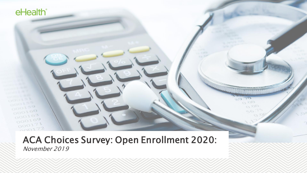ACA Choices Survey: Open Enrollment 2020: November 2019

00  $O_{Q}$ 

 $r = 1$ 

eHealth<sup>®</sup>

 $000100$ 

 $000163$ 000169  $000171$  $000172$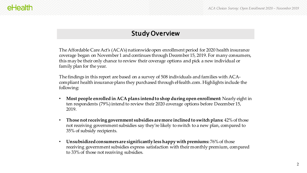### Study Overview

The Affordable Care Act's (ACA's) nationwide open enrollment period for 2020 health insurance coverage began on November 1 and continues through December 15, 2019. For many consumers, this may be their only chance to review their coverage options and pick a new individual or family plan for the year.

The findings in this report are based on a survey of 508 individuals and families with ACAcompliant health insurance plans they purchased through eHealth.com. Highlights include the following:

- **Most people enrolled in ACA plans intend to shop during open enrollment:** Nearly eight in ten respondents (79%) intend to review their 2020 coverage options before December 15, 2019.
- **Those not receiving government subsidies are more inclined to switch plans:** 42% of those not receiving government subsidies say they're likely to switch to a new plan, compared to 35% of subsidy recipients.
- **Unsubsidized consumers are significantly less happy with premiums:** 76% of those receiving government subsidies express satisfaction with their monthly premium, compared to 33% of those not receiving subsidies.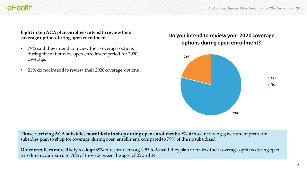#### **Eight in ten ACA plan enrollees intend to review their coverage options during open enrollment**

eHealth

- 79% said they intend to review their coverage options during the nationwide open enrollment period for 2020 coverage.
- 21% do not intend to review their 2020 coverage options.

### **Do you intend to review your 2020 coverage options during open enrollment?**



**Those receiving ACA subsidies more likely to shop during open enrollment:** 89% of those receiving government premium subsidies plan to shop for coverage during open enrollment, compared to 79% of the unsubsidized.

**Older enrollees more likely to shop**: 88% of respondents ages 55 to 64 said they plan to review their coverage options during open enrollment, compared to 76% of those between the ages of 25 and 34.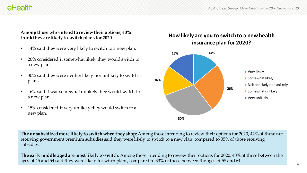### **Among those who intend to review their options, 40% think they are likely to switch plans for 2020**

- 14% said they were very likely to switch to a new plan.
- 26% considered it somewhat likely they would switch to a new plan.
- 30% said they were neither likely nor unlikely to switch plans.
- 16% said it was somewhat unlikely they would switch to a new plan.
- 15% considered it very unlikely they would switch to a new plan.

### **How likely are you to switch to a new health insurance plan for 2020?**



**The unsubsidized more likely to switch when they shop:** Among those intending to review their options for 2020, 42% of those not receiving government premium subsidies said they were likely to switch to a new plan, compared to 35% of those receiving subsidies.

**The early middle aged are most likely to switch**: Among those intending to review their options for 2020, 48% of those between the ages of 45 and 54 said they were likely to switch plans, compared to 33% of those between the ages of 55 and 64.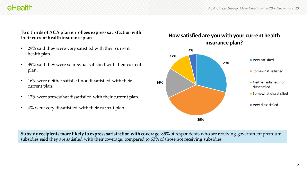### **Two thirds of ACA plan enrollees express satisfaction with their current health insurance plan**

- 29% said they were very satisfied with their current health plan.
- 39% said they were somewhat satisfied with their current plan.
- 16% were neither satisfied nor dissatisfied with their current plan.
- 12% were somewhat dissatisfied with their current plan.
- 4% were very dissatisfied with their current plan.





**Subsidy recipients more likely to express satisfaction with coverage:** 85% of respondents who are receiving government premium subsidies said they are satisfied with their coverage, compared to 63% of those not receiving subsidies.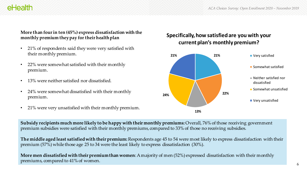#### **More than four in ten (45%) express dissatisfaction with the monthly premium they pay for their health plan**

- 21% of respondents said they were very satisfied with their monthly premium.
- 22% were somewhat satisfied with their monthly premium.
- 13% were neither satisfied nor dissatisfied.
- 24% were somewhat dissatisfied with their monthly premium.
- 21% were very unsatisfied with their monthly premium.

### **Specifically, how satisfied are you with your current plan's monthly premium?**



**Subsidy recipients much more likely to be happy with their monthly premiums:** Overall, 76% of those receiving government premium subsidies were satisfied with their monthly premiums, compared to 33% of those no receiving subsidies.

**The middle aged least satisfied with their premium:** Respondents age 45 to 54 were most likely to express dissatisfaction with their premium (57%) while those age 25 to 34 were the least likely to express dissatisfaction (30%).

**More men dissatisfied with their premium than women**: A majority of men (52%) expressed dissatisfaction with their monthly premiums, compared to 41% of women.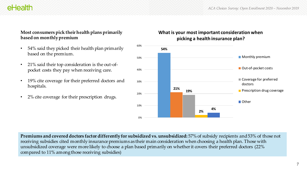### **Most consumers pick their health plans primarily based on monthly premium**

- 54% said they picked their health plan primarily based on the premium.
- 21% said their top consideration is the out-ofpocket costs they pay when receiving care.
- 19% cite coverage for their preferred doctors and hospitals.
- 2% cite coverage for their prescription drugs.

### **What is your most important consideration when picking a health insurance plan?**



**Premiums and covered doctors factor differently for subsidized vs. unsubsidized:** 57% of subsidy recipients and 53% of those not receiving subsidies cited monthly insurance premiums as their main consideration when choosing a health plan. Those with unsubsidized coverage were more likely to choose a plan based primarily on whether it covers their preferred doctors (22% compared to 11% among those receiving subsidies)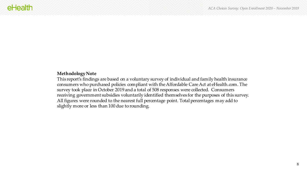#### **Methodology Note**

This report's findings are based on a voluntary survey of individual and family health insurance consumers who purchased policies compliant with the Affordable Care Act at eHealth.com. The survey took place in October 2019 and a total of 508 responses were collected. Consumers receiving government subsidies voluntarily identified themselves for the purposes of this survey. All figures were rounded to the nearest full percentage point. Total percentages may add to slightly more or less than 100 due to rounding.